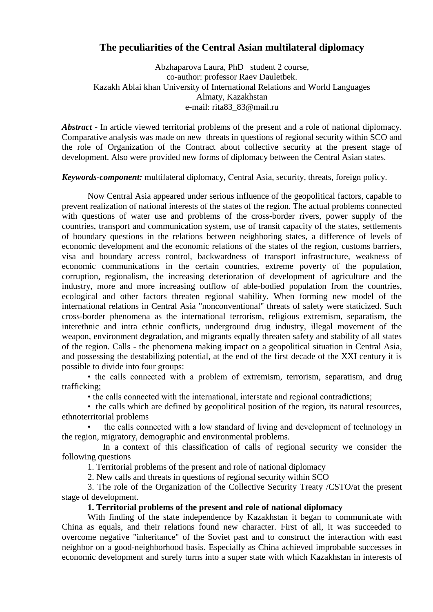## **The peculiarities of the Central Asian multilateral diplomacy**

Abzhaparova Laura, PhD student 2 course, co-author: professor Raev Dauletbek. Kazakh Ablai khan University of International Relations and World Languages Almaty, Kazakhstan e-mail: rita83\_83@mail.ru

*Abstract* - In article viewed territorial problems of the present and a role of national diplomacy. Comparative analysis was made on new threats in questions of regional security within SCO and the role of Organization of the Contract about collective security at the present stage of development. Also were provided new forms of diplomacy between the Central Asian states.

*Keywords-component:* multilateral diplomacy, Сentral Asia, security, threats, foreign policy.

Now Central Asia appeared under serious influence of the geopolitical factors, capable to prevent realization of national interests of the states of the region. The actual problems connected with questions of water use and problems of the cross-border rivers, power supply of the countries, transport and communication system, use of transit capacity of the states, settlements of boundary questions in the relations between neighboring states, a difference of levels of economic development and the economic relations of the states of the region, customs barriers, visa and boundary access control, backwardness of transport infrastructure, weakness of economic communications in the certain countries, extreme poverty of the population, corruption, regionalism, the increasing deterioration of development of agriculture and the industry, more and more increasing outflow of able-bodied population from the countries, ecological and other factors threaten regional stability. When forming new model of the international relations in Central Asia "nonconventional" threats of safety were staticized. Such cross-border phenomena as the international terrorism, religious extremism, separatism, the interethnic and intra ethnic conflicts, underground drug industry, illegal movement of the weapon, environment degradation, and migrants equally threaten safety and stability of all states of the region. Calls - the phenomena making impact on a geopolitical situation in Central Asia, and possessing the destabilizing potential, at the end of the first decade of the XXI century it is possible to divide into four groups:

• the calls connected with a problem of extremism, terrorism, separatism, and drug trafficking;

• the calls connected with the international, interstate and regional contradictions;

• the calls which are defined by geopolitical position of the region, its natural resources, ethnoterritorial problems

• the calls connected with a low standard of living and development of technology in the region, migratory, demographic and environmental problems.

 In a context of this classification of calls of regional security we consider the following questions

1. Territorial problems of the present and role of national diplomacy

2. New calls and threats in questions of regional security within SCO

3. The role of the Organization of the Collective Security Treaty /CSTO/at the present stage of development.

## **1. Territorial problems of the present and role of national diplomacy**

With finding of the state independence by Kazakhstan it began to communicate with China as equals, and their relations found new character. First of all, it was succeeded to overcome negative "inheritance" of the Soviet past and to construct the interaction with east neighbor on a good-neighborhood basis. Especially as China achieved improbable successes in economic development and surely turns into a super state with which Kazakhstan in interests of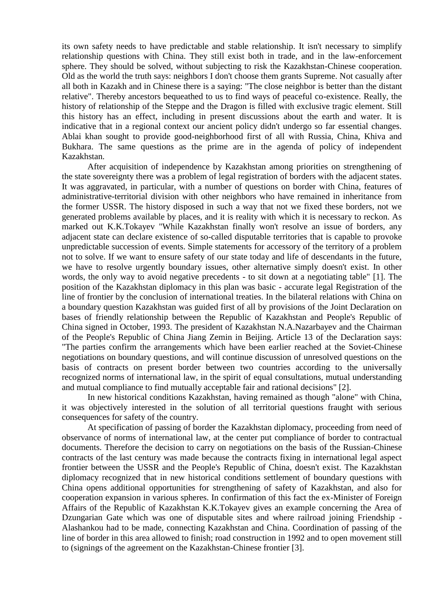its own safety needs to have predictable and stable relationship. It isn't necessary to simplify relationship questions with China. They still exist both in trade, and in the law-enforcement sphere. They should be solved, without subjecting to risk the Kazakhstan-Chinese cooperation. Old as the world the truth says: neighbors I don't choose them grants Supreme. Not casually after all both in Kazakh and in Chinese there is a saying: "The close neighbor is better than the distant relative". Thereby ancestors bequeathed to us to find ways of peaceful co-existence. Really, the history of relationship of the Steppe and the Dragon is filled with exclusive tragic element. Still this history has an effect, including in present discussions about the earth and water. It is indicative that in a regional context our ancient policy didn't undergo so far essential changes. Ablai khan sought to provide good-neighborhood first of all with Russia, China, Khiva and Bukhara. The same questions as the prime are in the agenda of policy of independent Kazakhstan.

After acquisition of independence by Kazakhstan among priorities on strengthening of the state sovereignty there was a problem of legal registration of borders with the adjacent states. It was aggravated, in particular, with a number of questions on border with China, features of administrative-territorial division with other neighbors who have remained in inheritance from the former USSR. The history disposed in such a way that not we fixed these borders, not we generated problems available by places, and it is reality with which it is necessary to reckon. As marked out K.K.Tokayev "While Kazakhstan finally won't resolve an issue of borders, any adjacent state can declare existence of so-called disputable territories that is capable to provoke unpredictable succession of events. Simple statements for accessory of the territory of a problem not to solve. If we want to ensure safety of our state today and life of descendants in the future, we have to resolve urgently boundary issues, other alternative simply doesn't exist. In other words, the only way to avoid negative precedents - to sit down at a negotiating table" [1]. The position of the Kazakhstan diplomacy in this plan was basic - accurate legal Registration of the line of frontier by the conclusion of international treaties. In the bilateral relations with China on a boundary question Kazakhstan was guided first of all by provisions of the Joint Declaration on bases of friendly relationship between the Republic of Kazakhstan and People's Republic of China signed in October, 1993. The president of Kazakhstan N.A.Nazarbayev and the Chairman of the People's Republic of China Jiang Zemin in Beijing. Article 13 of the Declaration says: "The parties confirm the arrangements which have been earlier reached at the Soviet-Chinese negotiations on boundary questions, and will continue discussion of unresolved questions on the basis of contracts on present border between two countries according to the universally recognized norms of international law, in the spirit of equal consultations, mutual understanding and mutual compliance to find mutually acceptable fair and rational decisions" [2].

In new historical conditions Kazakhstan, having remained as though "alone" with China, it was objectively interested in the solution of all territorial questions fraught with serious consequences for safety of the country.

At specification of passing of border the Kazakhstan diplomacy, proceeding from need of observance of norms of international law, at the center put compliance of border to contractual documents. Therefore the decision to carry on negotiations on the basis of the Russian-Chinese contracts of the last century was made because the contracts fixing in international legal aspect frontier between the USSR and the People's Republic of China, doesn't exist. The Kazakhstan diplomacy recognized that in new historical conditions settlement of boundary questions with China opens additional opportunities for strengthening of safety of Kazakhstan, and also for cooperation expansion in various spheres. In confirmation of this fact the ex-Minister of Foreign Affairs of the Republic of Kazakhstan K.K.Tokayev gives an example concerning the Area of Dzungarian Gate which was one of disputable sites and where railroad joining Friendship - Alashankou had to be made, connecting Kazakhstan and China. Coordination of passing of the line of border in this area allowed to finish; road construction in 1992 and to open movement still to (signings of the agreement on the Kazakhstan-Chinese frontier [3].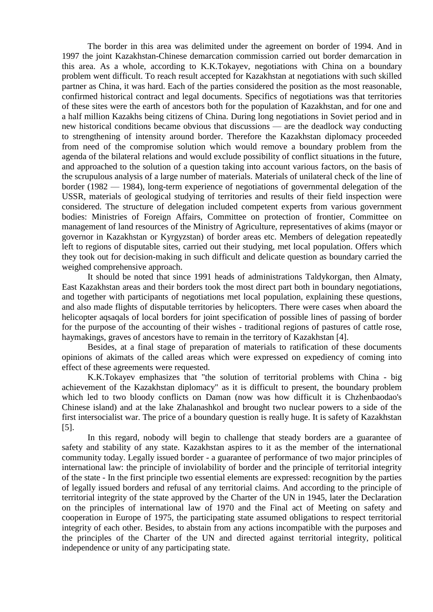The border in this area was delimited under the agreement on border of 1994. And in 1997 the joint Kazakhstan-Chinese demarcation commission carried out border demarcation in this area. As a whole, according to K.K.Tokayev, negotiations with China on a boundary problem went difficult. To reach result accepted for Kazakhstan at negotiations with such skilled partner as China, it was hard. Each of the parties considered the position as the most reasonable, confirmed historical contract and legal documents. Specifics of negotiations was that territories of these sites were the earth of ancestors both for the population of Kazakhstan, and for one and a half million Kazakhs being citizens of China. During long negotiations in Soviet period and in new historical conditions became obvious that discussions — are the deadlock way conducting to strengthening of intensity around border. Therefore the Kazakhstan diplomacy proceeded from need of the compromise solution which would remove a boundary problem from the agenda of the bilateral relations and would exclude possibility of conflict situations in the future, and approached to the solution of a question taking into account various factors, on the basis of the scrupulous analysis of a large number of materials. Materials of unilateral check of the line of border (1982 — 1984), long-term experience of negotiations of governmental delegation of the USSR, materials of geological studying of territories and results of their field inspection were considered. The structure of delegation included competent experts from various government bodies: Ministries of Foreign Affairs, Committee on protection of frontier, Committee on management of land resources of the Ministry of Agriculture, representatives of akims (mayor or governor in Kazakhstan or Kyrgyzstan) of border areas etc. Members of delegation repeatedly left to regions of disputable sites, carried out their studying, met local population. Offers which they took out for decision-making in such difficult and delicate question as boundary carried the weighed comprehensive approach.

It should be noted that since 1991 heads of administrations Taldykorgan, then Almaty, East Kazakhstan areas and their borders took the most direct part both in boundary negotiations, and together with participants of negotiations met local population, explaining these questions, and also made flights of disputable territories by helicopters. There were cases when aboard the helicopter aqsaqals of local borders for joint specification of possible lines of passing of border for the purpose of the accounting of their wishes - traditional regions of pastures of cattle rose, haymakings, graves of ancestors have to remain in the territory of Kazakhstan [4].

Besides, at a final stage of preparation of materials to ratification of these documents opinions of akimats of the called areas which were expressed on expediency of coming into effect of these agreements were requested.

K.K.Tokayev emphasizes that "the solution of territorial problems with China - big achievement of the Kazakhstan diplomacy" as it is difficult to present, the boundary problem which led to two bloody conflicts on Daman (now was how difficult it is Chzhenbaodao's Chinese island) and at the lake Zhalanashkol and brought two nuclear powers to a side of the first intersocialist war. The price of a boundary question is really huge. It is safety of Kazakhstan [5].

In this regard, nobody will begin to challenge that steady borders are a guarantee of safety and stability of any state. Kazakhstan aspires to it as the member of the international community today. Legally issued border - a guarantee of performance of two major principles of international law: the principle of inviolability of border and the principle of territorial integrity of the state - In the first principle two essential elements are expressed: recognition by the parties of legally issued borders and refusal of any territorial claims. And according to the principle of territorial integrity of the state approved by the Charter of the UN in 1945, later the Declaration on the principles of international law of 1970 and the Final act of Meeting on safety and cooperation in Europe of 1975, the participating state assumed obligations to respect territorial integrity of each other. Besides, to abstain from any actions incompatible with the purposes and the principles of the Charter of the UN and directed against territorial integrity, political independence or unity of any participating state.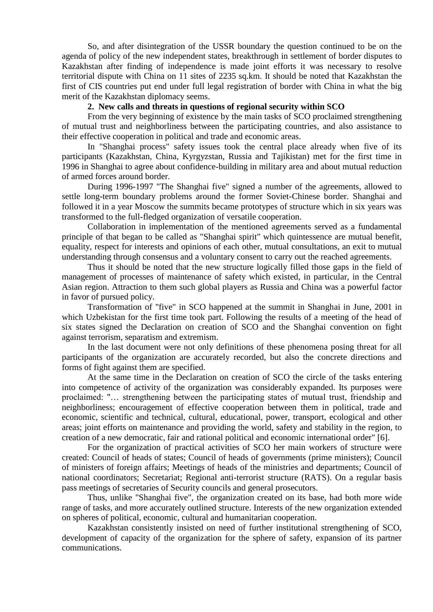So, and after disintegration of the USSR boundary the question continued to be on the agenda of policy of the new independent states, breakthrough in settlement of border disputes to Kazakhstan after finding of independence is made joint efforts it was necessary to resolve territorial dispute with China on 11 sites of 2235 sq.km. It should be noted that Kazakhstan the first of CIS countries put end under full legal registration of border with China in what the big merit of the Kazakhstan diplomacy seems.

## **2. New calls and threats in questions of regional security within SCO**

From the very beginning of existence by the main tasks of SCO proclaimed strengthening of mutual trust and neighborliness between the participating countries, and also assistance to their effective cooperation in political and trade and economic areas.

In "Shanghai process" safety issues took the central place already when five of its participants (Kazakhstan, China, Kyrgyzstan, Russia and Tajikistan) met for the first time in 1996 in Shanghai to agree about confidence-building in military area and about mutual reduction of armed forces around border.

During 1996-1997 "The Shanghai five" signed a number of the agreements, allowed to settle long-term boundary problems around the former Soviet-Chinese border. Shanghai and followed it in a year Moscow the summits became prototypes of structure which in six years was transformed to the full-fledged organization of versatile cooperation.

Collaboration in implementation of the mentioned agreements served as a fundamental principle of that began to be called as "Shanghai spirit" which quintessence are mutual benefit, equality, respect for interests and opinions of each other, mutual consultations, an exit to mutual understanding through consensus and a voluntary consent to carry out the reached agreements.

Thus it should be noted that the new structure logically filled those gaps in the field of management of processes of maintenance of safety which existed, in particular, in the Central Asian region. Attraction to them such global players as Russia and China was a powerful factor in favor of pursued policy.

Transformation of "five" in SCO happened at the summit in Shanghai in June, 2001 in which Uzbekistan for the first time took part. Following the results of a meeting of the head of six states signed the Declaration on creation of SCO and the Shanghai convention on fight against terrorism, separatism and extremism.

In the last document were not only definitions of these phenomena posing threat for all participants of the organization are accurately recorded, but also the concrete directions and forms of fight against them are specified.

At the same time in the Declaration on creation of SCO the circle of the tasks entering into competence of activity of the organization was considerably expanded. Its purposes were proclaimed: "… strengthening between the participating states of mutual trust, friendship and neighborliness; encouragement of effective cooperation between them in political, trade and economic, scientific and technical, cultural, educational, power, transport, ecological and other areas; joint efforts on maintenance and providing the world, safety and stability in the region, to creation of a new democratic, fair and rational political and economic international order" [6].

For the organization of practical activities of SCO her main workers of structure were created: Council of heads of states; Council of heads of governments (prime ministers); Council of ministers of foreign affairs; Meetings of heads of the ministries and departments; Council of national coordinators; Secretariat; Regional anti-terrorist structure (RATS). On a regular basis pass meetings of secretaries of Security councils and general prosecutors.

Thus, unlike "Shanghai five", the organization created on its base, had both more wide range of tasks, and more accurately outlined structure. Interests of the new organization extended on spheres of political, economic, cultural and humanitarian cooperation.

Kazakhstan consistently insisted on need of further institutional strengthening of SCO, development of capacity of the organization for the sphere of safety, expansion of its partner communications.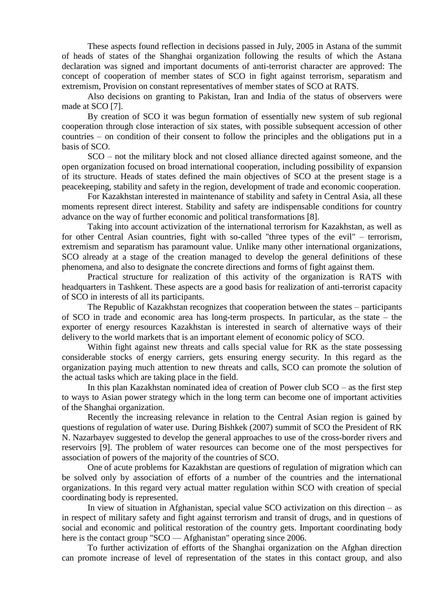These aspects found reflection in decisions passed in July, 2005 in Astana of the summit of heads of states of the Shanghai organization following the results of which the Astana declaration was signed and important documents of anti-terrorist character are approved: The concept of cooperation of member states of SCO in fight against terrorism, separatism and extremism, Provision on constant representatives of member states of SCO at RATS.

Also decisions on granting to Pakistan, Iran and India of the status of observers were made at SCO [7].

By creation of SCO it was begun formation of essentially new system of sub regional cooperation through close interaction of six states, with possible subsequent accession of other countries – on condition of their consent to follow the principles and the obligations put in a basis of SCO.

SCO – not the military block and not closed alliance directed against someone, and the open organization focused on broad international cooperation, including possibility of expansion of its structure. Heads of states defined the main objectives of SCO at the present stage is a peacekeeping, stability and safety in the region, development of trade and economic cooperation.

For Kazakhstan interested in maintenance of stability and safety in Central Asia, all these moments represent direct interest. Stability and safety are indispensable conditions for country advance on the way of further economic and political transformations [8].

Taking into account activization of the international terrorism for Kazakhstan, as well as for other Central Asian countries, fight with so-called "three types of the evil" – terrorism, extremism and separatism has paramount value. Unlike many other international organizations, SCO already at a stage of the creation managed to develop the general definitions of these phenomena, and also to designate the concrete directions and forms of fight against them.

Practical structure for realization of this activity of the organization is RATS with headquarters in Tashkent. These aspects are a good basis for realization of anti-terrorist capacity of SCO in interests of all its participants.

The Republic of Kazakhstan recognizes that cooperation between the states – participants of SCO in trade and economic area has long-term prospects. In particular, as the state – the exporter of energy resources Kazakhstan is interested in search of alternative ways of their delivery to the world markets that is an important element of economic policy of SCO.

Within fight against new threats and calls special value for RK as the state possessing considerable stocks of energy carriers, gets ensuring energy security. In this regard as the organization paying much attention to new threats and calls, SCO can promote the solution of the actual tasks which are taking place in the field.

In this plan Kazakhstan nominated idea of creation of Power club SCO – as the first step to ways to Asian power strategy which in the long term can become one of important activities of the Shanghai organization.

Recently the increasing relevance in relation to the Central Asian region is gained by questions of regulation of water use. During Bishkek (2007) summit of SCO the President of RK N. Nazarbayev suggested to develop the general approaches to use of the cross-border rivers and reservoirs [9]. The problem of water resources can become one of the most perspectives for association of powers of the majority of the countries of SCO.

One of acute problems for Kazakhstan are questions of regulation of migration which can be solved only by association of efforts of a number of the countries and the international organizations. In this regard very actual matter regulation within SCO with creation of special coordinating body is represented.

In view of situation in Afghanistan, special value SCO activization on this direction – as in respect of military safety and fight against terrorism and transit of drugs, and in questions of social and economic and political restoration of the country gets. Important coordinating body here is the contact group "SCO — Afghanistan" operating since 2006.

To further activization of efforts of the Shanghai organization on the Afghan direction can promote increase of level of representation of the states in this contact group, and also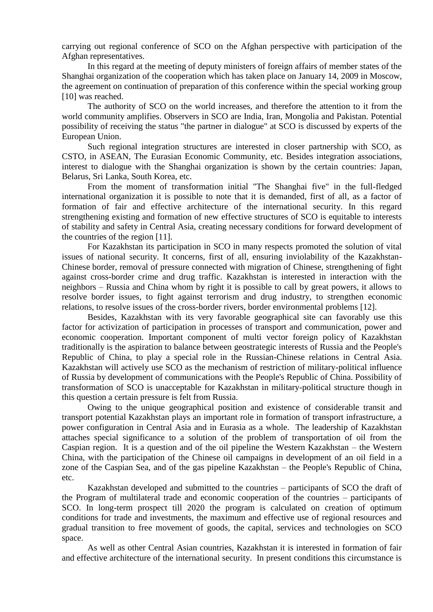carrying out regional conference of SCO on the Afghan perspective with participation of the Afghan representatives.

In this regard at the meeting of deputy ministers of foreign affairs of member states of the Shanghai organization of the cooperation which has taken place on January 14, 2009 in Moscow, the agreement on continuation of preparation of this conference within the special working group [10] was reached.

The authority of SCO on the world increases, and therefore the attention to it from the world community amplifies. Observers in SCO are India, Iran, Mongolia and Pakistan. Potential possibility of receiving the status "the partner in dialogue" at SCO is discussed by experts of the European Union.

Such regional integration structures are interested in closer partnership with SCO, as CSTO, in ASEAN, The Eurasian Economic Community, etc. Besides integration associations, interest to dialogue with the Shanghai organization is shown by the certain countries: Japan, Belarus, Sri Lanka, South Korea, etc.

From the moment of transformation initial "The Shanghai five" in the full-fledged international organization it is possible to note that it is demanded, first of all, as a factor of formation of fair and effective architecture of the international security. In this regard strengthening existing and formation of new effective structures of SCO is equitable to interests of stability and safety in Central Asia, creating necessary conditions for forward development of the countries of the region [11].

For Kazakhstan its participation in SCO in many respects promoted the solution of vital issues of national security. It concerns, first of all, ensuring inviolability of the Kazakhstan-Chinese border, removal of pressure connected with migration of Chinese, strengthening of fight against cross-border crime and drug traffic. Kazakhstan is interested in interaction with the neighbors – Russia and China whom by right it is possible to call by great powers, it allows to resolve border issues, to fight against terrorism and drug industry, to strengthen economic relations, to resolve issues of the cross-border rivers, border environmental problems [12].

Besides, Kazakhstan with its very favorable geographical site can favorably use this factor for activization of participation in processes of transport and communication, power and economic cooperation. Important component of multi vector foreign policy of Kazakhstan traditionally is the aspiration to balance between geostrategic interests of Russia and the People's Republic of China, to play a special role in the Russian-Chinese relations in Central Asia. Kazakhstan will actively use SCO as the mechanism of restriction of military-political influence of Russia by development of communications with the People's Republic of China. Possibility of transformation of SCO is unacceptable for Kazakhstan in military-political structure though in this question a certain pressure is felt from Russia.

Owing to the unique geographical position and existence of considerable transit and transport potential Kazakhstan plays an important role in formation of transport infrastructure, a power configuration in Central Asia and in Eurasia as a whole. The leadership of Kazakhstan attaches special significance to a solution of the problem of transportation of oil from the Caspian region. It is a question and of the oil pipeline the Western Kazakhstan – the Western China, with the participation of the Chinese oil campaigns in development of an oil field in a zone of the Caspian Sea, and of the gas pipeline Kazakhstan – the People's Republic of China, etc.

Kazakhstan developed and submitted to the countries – participants of SCO the draft of the Program of multilateral trade and economic cooperation of the countries – participants of SCO. In long-term prospect till 2020 the program is calculated on creation of optimum conditions for trade and investments, the maximum and effective use of regional resources and gradual transition to free movement of goods, the capital, services and technologies on SCO space.

As well as other Central Asian countries, Kazakhstan it is interested in formation of fair and effective architecture of the international security. In present conditions this circumstance is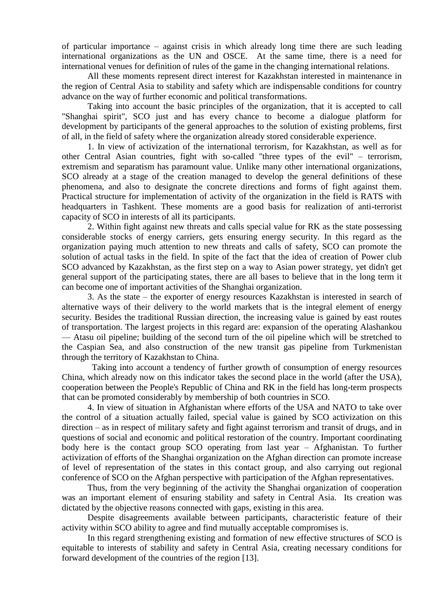of particular importance – against crisis in which already long time there are such leading international organizations as the UN and OSCE. At the same time, there is a need for international venues for definition of rules of the game in the changing international relations.

All these moments represent direct interest for Kazakhstan interested in maintenance in the region of Central Asia to stability and safety which are indispensable conditions for country advance on the way of further economic and political transformations.

Taking into account the basic principles of the organization, that it is accepted to call "Shanghai spirit", SCO just and has every chance to become a dialogue platform for development by participants of the general approaches to the solution of existing problems, first of all, in the field of safety where the organization already stored considerable experience.

1. In view of activization of the international terrorism, for Kazakhstan, as well as for other Central Asian countries, fight with so-called "three types of the evil" – terrorism, extremism and separatism has paramount value. Unlike many other international organizations, SCO already at a stage of the creation managed to develop the general definitions of these phenomena, and also to designate the concrete directions and forms of fight against them. Practical structure for implementation of activity of the organization in the field is RATS with headquarters in Tashkent. These moments are a good basis for realization of anti-terrorist capacity of SCO in interests of all its participants.

2. Within fight against new threats and calls special value for RK as the state possessing considerable stocks of energy carriers, gets ensuring energy security. In this regard as the organization paying much attention to new threats and calls of safety, SCO can promote the solution of actual tasks in the field. In spite of the fact that the idea of creation of Power club SCO advanced by Kazakhstan, as the first step on a way to Asian power strategy, yet didn't get general support of the participating states, there are all bases to believe that in the long term it can become one of important activities of the Shanghai organization.

3. As the state – the exporter of energy resources Kazakhstan is interested in search of alternative ways of their delivery to the world markets that is the integral element of energy security. Besides the traditional Russian direction, the increasing value is gained by east routes of transportation. The largest projects in this regard are: expansion of the operating Alashankou — Atasu oil pipeline; building of the second turn of the oil pipeline which will be stretched to the Caspian Sea, and also construction of the new transit gas pipeline from Turkmenistan through the territory of Kazakhstan to China.

 Taking into account a tendency of further growth of consumption of energy resources China, which already now on this indicator takes the second place in the world (after the USA), cooperation between the People's Republic of China and RK in the field has long-term prospects that can be promoted considerably by membership of both countries in SCO.

4. In view of situation in Afghanistan where efforts of the USA and NATO to take over the control of a situation actually failed, special value is gained by SCO activization on this direction – as in respect of military safety and fight against terrorism and transit of drugs, and in questions of social and economic and political restoration of the country. Important coordinating body here is the contact group SCO operating from last year – Afghanistan. To further activization of efforts of the Shanghai organization on the Afghan direction can promote increase of level of representation of the states in this contact group, and also carrying out regional conference of SCO on the Afghan perspective with participation of the Afghan representatives.

Thus, from the very beginning of the activity the Shanghai organization of cooperation was an important element of ensuring stability and safety in Central Asia. Its creation was dictated by the objective reasons connected with gaps, existing in this area.

Despite disagreements available between participants, characteristic feature of their activity within SCO ability to agree and find mutually acceptable compromises is.

In this regard strengthening existing and formation of new effective structures of SCO is equitable to interests of stability and safety in Central Asia, creating necessary conditions for forward development of the countries of the region [13].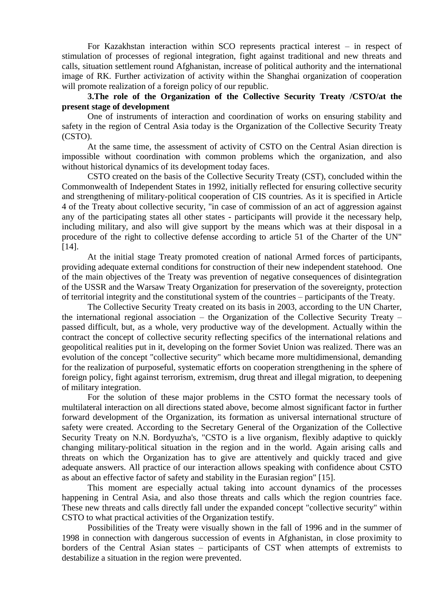For Kazakhstan interaction within SCO represents practical interest – in respect of stimulation of processes of regional integration, fight against traditional and new threats and calls, situation settlement round Afghanistan, increase of political authority and the international image of RK. Further activization of activity within the Shanghai organization of cooperation will promote realization of a foreign policy of our republic.

**3.The role of the Organization of the Collective Security Treaty /CSTO/at the present stage of development**

One of instruments of interaction and coordination of works on ensuring stability and safety in the region of Central Asia today is the Organization of the Collective Security Treaty (CSTO).

At the same time, the assessment of activity of CSTO on the Central Asian direction is impossible without coordination with common problems which the organization, and also without historical dynamics of its development today faces.

CSTO created on the basis of the Collective Security Treaty (CST), concluded within the Commonwealth of Independent States in 1992, initially reflected for ensuring collective security and strengthening of military-political cooperation of CIS countries. As it is specified in Article 4 of the Treaty about collective security, "in case of commission of an act of aggression against any of the participating states all other states - participants will provide it the necessary help, including military, and also will give support by the means which was at their disposal in a procedure of the right to collective defense according to article 51 of the Charter of the UN" [14].

At the initial stage Treaty promoted creation of national Armed forces of participants, providing adequate external conditions for construction of their new independent statehood. One of the main objectives of the Treaty was prevention of negative consequences of disintegration of the USSR and the Warsaw Treaty Organization for preservation of the sovereignty, protection of territorial integrity and the constitutional system of the countries – participants of the Treaty.

The Collective Security Treaty created on its basis in 2003, according to the UN Charter, the international regional association – the Organization of the Collective Security Treaty – passed difficult, but, as a whole, very productive way of the development. Actually within the contract the concept of collective security reflecting specifics of the international relations and geopolitical realities put in it, developing on the former Soviet Union was realized. There was an evolution of the concept "collective security" which became more multidimensional, demanding for the realization of purposeful, systematic efforts on cooperation strengthening in the sphere of foreign policy, fight against terrorism, extremism, drug threat and illegal migration, to deepening of military integration.

For the solution of these major problems in the CSTO format the necessary tools of multilateral interaction on all directions stated above, become almost significant factor in further forward development of the Organization, its formation as universal international structure of safety were created. According to the Secretary General of the Organization of the Collective Security Treaty on N.N. Bordyuzha's, "CSTO is a live organism, flexibly adaptive to quickly changing military-political situation in the region and in the world. Again arising calls and threats on which the Organization has to give are attentively and quickly traced and give adequate answers. All practice of our interaction allows speaking with confidence about CSTO as about an effective factor of safety and stability in the Eurasian region" [15].

This moment are especially actual taking into account dynamics of the processes happening in Central Asia, and also those threats and calls which the region countries face. These new threats and calls directly fall under the expanded concept "collective security" within CSTO to what practical activities of the Organization testify.

Possibilities of the Treaty were visually shown in the fall of 1996 and in the summer of 1998 in connection with dangerous succession of events in Afghanistan, in close proximity to borders of the Central Asian states – participants of CST when attempts of extremists to destabilize a situation in the region were prevented.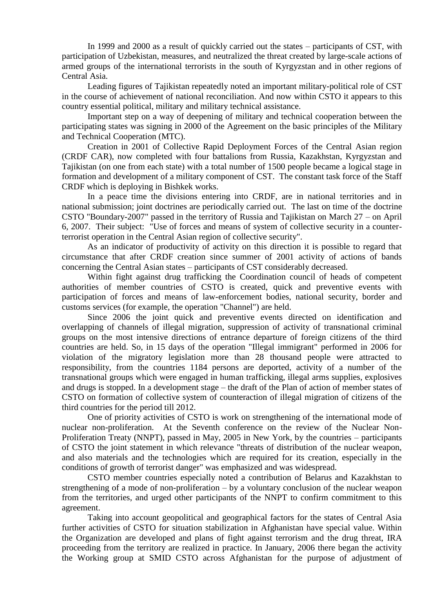In 1999 and 2000 as a result of quickly carried out the states – participants of CST, with participation of Uzbekistan, measures, and neutralized the threat created by large-scale actions of armed groups of the international terrorists in the south of Kyrgyzstan and in other regions of Central Asia.

Leading figures of Tajikistan repeatedly noted an important military-political role of CST in the course of achievement of national reconciliation. And now within CSTO it appears to this country essential political, military and military technical assistance.

Important step on a way of deepening of military and technical cooperation between the participating states was signing in 2000 of the Agreement on the basic principles of the Military and Technical Cooperation (MTC).

Creation in 2001 of Collective Rapid Deployment Forces of the Central Asian region (CRDF CAR), now completed with four battalions from Russia, Kazakhstan, Kyrgyzstan and Tajikistan (on one from each state) with a total number of 1500 people became a logical stage in formation and development of a military component of CST. The constant task force of the Staff CRDF which is deploying in Bishkek works.

In a peace time the divisions entering into CRDF, are in national territories and in national submission; joint doctrines are periodically carried out. The last on time of the doctrine CSTO "Boundary-2007" passed in the territory of Russia and Tajikistan on March 27 – on April 6, 2007. Their subject: "Use of forces and means of system of collective security in a counterterrorist operation in the Central Asian region of collective security".

As an indicator of productivity of activity on this direction it is possible to regard that circumstance that after CRDF creation since summer of 2001 activity of actions of bands concerning the Central Asian states – participants of CST considerably decreased.

Within fight against drug trafficking the Coordination council of heads of competent authorities of member countries of CSTO is created, quick and preventive events with participation of forces and means of law-enforcement bodies, national security, border and customs services (for example, the operation "Channel") are held.

Since 2006 the joint quick and preventive events directed on identification and overlapping of channels of illegal migration, suppression of activity of transnational criminal groups on the most intensive directions of entrance departure of foreign citizens of the third countries are held. So, in 15 days of the operation "Illegal immigrant" performed in 2006 for violation of the migratory legislation more than 28 thousand people were attracted to responsibility, from the countries 1184 persons are deported, activity of a number of the transnational groups which were engaged in human trafficking, illegal arms supplies, explosives and drugs is stopped. In a development stage – the draft of the Plan of action of member states of CSTO on formation of collective system of counteraction of illegal migration of citizens of the third countries for the period till 2012.

One of priority activities of CSTO is work on strengthening of the international mode of nuclear non-proliferation. At the Seventh conference on the review of the Nuclear Non-Proliferation Treaty (NNPT), passed in May, 2005 in New York, by the countries – participants of CSTO the joint statement in which relevance "threats of distribution of the nuclear weapon, and also materials and the technologies which are required for its creation, especially in the conditions of growth of terrorist danger" was emphasized and was widespread.

CSTO member countries especially noted a contribution of Belarus and Kazakhstan to strengthening of a mode of non-proliferation – by a voluntary conclusion of the nuclear weapon from the territories, and urged other participants of the NNPT to confirm commitment to this agreement.

Taking into account geopolitical and geographical factors for the states of Central Asia further activities of CSTO for situation stabilization in Afghanistan have special value. Within the Organization are developed and plans of fight against terrorism and the drug threat, IRA proceeding from the territory are realized in practice. In January, 2006 there began the activity the Working group at SMID CSTO across Afghanistan for the purpose of adjustment of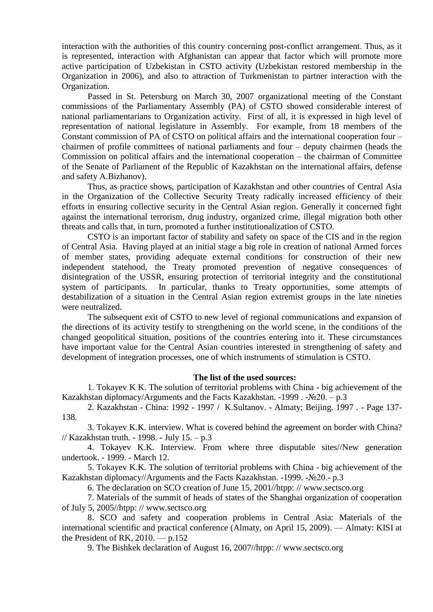interaction with the authorities of this country concerning post-conflict arrangement. Thus, as it is represented, interaction with Afghanistan can appear that factor which will promote more active participation of Uzbekistan in CSTO activity (Uzbekistan restored membership in the Organization in 2006), and also to attraction of Turkmenistan to partner interaction with the Organization.

Passed in St. Petersburg on March 30, 2007 organizational meeting of the Constant commissions of the Parliamentary Assembly (PA) of CSTO showed considerable interest of national parliamentarians to Organization activity. First of all, it is expressed in high level of representation of national legislature in Assembly. For example, from 18 members of the Constant commission of PA of CSTO on political affairs and the international cooperation four – chairmen of profile committees of national parliaments and four – deputy chairmen (heads the Commission on political affairs and the international cooperation – the chairman of Committee of the Senate of Parliament of the Republic of Kazakhstan on the international affairs, defense and safety A.Bizhanov).

Thus, as practice shows, participation of Kazakhstan and other countries of Central Asia in the Organization of the Collective Security Treaty radically increased efficiency of their efforts in ensuring collective security in the Central Asian region. Generally it concerned fight against the international terrorism, drug industry, organized crime, illegal migration both other threats and calls that, in turn, promoted a further institutionalization of CSTO.

CSTO is an important factor of stability and safety on space of the CIS and in the region of Central Asia. Having played at an initial stage a big role in creation of national Armed forces of member states, providing adequate external conditions for construction of their new independent statehood, the Treaty promoted prevention of negative consequences of disintegration of the USSR, ensuring protection of territorial integrity and the constitutional system of participants. In particular, thanks to Treaty opportunities, some attempts of destabilization of a situation in the Central Asian region extremist groups in the late nineties were neutralized.

The subsequent exit of CSTO to new level of regional communications and expansion of the directions of its activity testify to strengthening on the world scene, in the conditions of the changed geopolitical situation, positions of the countries entering into it. These circumstances have important value for the Central Asian countries interested in strengthening of safety and development of integration processes, one of which instruments of stimulation is CSTO.

## **The list of the used sources:**

1. Tokayev K K. The solution of territorial problems with China - big achievement of the Kazakhstan diplomacy/Arguments and the Facts Kazakhstan. -1999. - $\mathcal{N} \geq 20$ . – p.3

2. Kazakhstan - China: 1992 - 1997 / K.Sultanov. - Almaty; Beijing. 1997 . - Page 137- 138.

3. Tokayev K.K. interview. What is covered behind the agreement on border with China? // Kazakhstan truth. - 1998. - July 15. – p.3

4. Tokayev K.K. Interview. From where three disputable sites//New generation undertook. - 1999. - March 12.

5. Tokayev K.K. The solution of territorial problems with China - big achievement of the Kazakhstan diplomacy//Arguments and the Facts Kazakhstan. -1999. -№20.- p.3

6. The declaration on SCO creation of June 15, 2001//htpp: // www.sectsco.org

7. Materials of the summit of heads of states of the Shanghai organization of cooperation of July 5, 2005//htpp: // www.sectsco.org

8. SCO and safety and cooperation problems in Central Asia: Materials of the international scientific and practical conference (Almaty, on April 15, 2009). — Almaty: KISI at the President of RK,  $2010 - p.152$ 

9. The Bishkek declaration of August 16, 2007//htpp: // www.sectsco.org